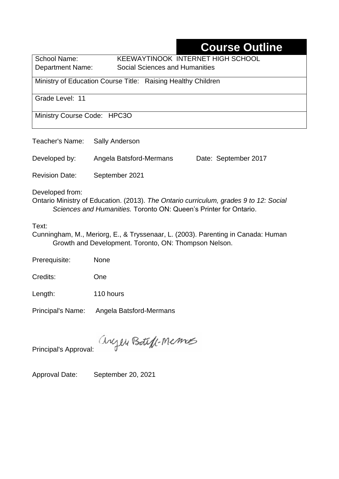# **Course Outline**

School Name: KEEWAYTINOOK INTERNET HIGH SCHOOL

Department Name:Social Sciences and Humanities

Ministry of Education Course Title: Raising Healthy Children

Grade Level: 11

Ministry Course Code: HPC3O

| Teacher's Name:                                                                                                                                                               | <b>Sally Anderson</b>   |                      |  |  |  |  |
|-------------------------------------------------------------------------------------------------------------------------------------------------------------------------------|-------------------------|----------------------|--|--|--|--|
| Developed by:                                                                                                                                                                 | Angela Batsford-Mermans | Date: September 2017 |  |  |  |  |
| <b>Revision Date:</b>                                                                                                                                                         | September 2021          |                      |  |  |  |  |
| Developed from:<br>Ontario Ministry of Education. (2013). The Ontario curriculum, grades 9 to 12: Social<br>Sciences and Humanities. Toronto ON: Queen's Printer for Ontario. |                         |                      |  |  |  |  |
| Text:                                                                                                                                                                         |                         |                      |  |  |  |  |

Cunningham, M., Meriorg, E., & Tryssenaar, L. (2003). Parenting in Canada: Human Growth and Development. Toronto, ON: Thompson Nelson.

| Prerequisite: | None |
|---------------|------|
|---------------|------|

Credits: One

Length: 110 hours

Principal's Name: Angela Batsford-Mermans

anyen Boteff-Memos

Principal's Approval:

Approval Date: September 20, 2021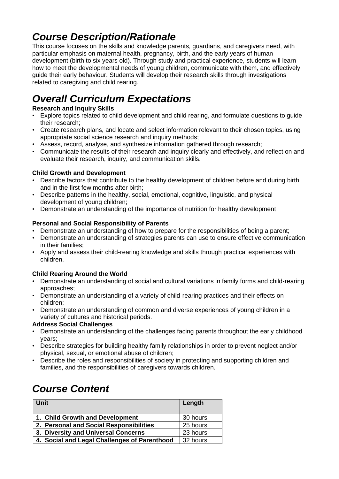# *Course Description/Rationale*

This course focuses on the skills and knowledge parents, guardians, and caregivers need, with particular emphasis on maternal health, pregnancy, birth, and the early years of human development (birth to six years old). Through study and practical experience, students will learn how to meet the developmental needs of young children, communicate with them, and effectively guide their early behaviour. Students will develop their research skills through investigations related to caregiving and child rearing.

# *Overall Curriculum Expectations*

### **Research and Inquiry Skills**

- Explore topics related to child development and child rearing, and formulate questions to guide their research;
- Create research plans, and locate and select information relevant to their chosen topics, using appropriate social science research and inquiry methods;
- Assess, record, analyse, and synthesize information gathered through research;
- Communicate the results of their research and inquiry clearly and effectively, and reflect on and evaluate their research, inquiry, and communication skills.

### **Child Growth and Development**

- Describe factors that contribute to the healthy development of children before and during birth, and in the first few months after birth;
- Describe patterns in the healthy, social, emotional, cognitive, linguistic, and physical development of young children;
- Demonstrate an understanding of the importance of nutrition for healthy development

### **Personal and Social Responsibility of Parents**

- Demonstrate an understanding of how to prepare for the responsibilities of being a parent;
- Demonstrate an understanding of strategies parents can use to ensure effective communication in their families;
- Apply and assess their child-rearing knowledge and skills through practical experiences with children.

### **Child Rearing Around the World**

- Demonstrate an understanding of social and cultural variations in family forms and child-rearing approaches;
- Demonstrate an understanding of a variety of child-rearing practices and their effects on children;
- Demonstrate an understanding of common and diverse experiences of young children in a variety of cultures and historical periods.

### **Address Social Challenges**

- Demonstrate an understanding of the challenges facing parents throughout the early childhood years;
- Describe strategies for building healthy family relationships in order to prevent neglect and/or physical, sexual, or emotional abuse of children;
- Describe the roles and responsibilities of society in protecting and supporting children and families, and the responsibilities of caregivers towards children.

# *Course Content*

| Unit                                         | Length   |
|----------------------------------------------|----------|
| 1. Child Growth and Development              | 30 hours |
| 2. Personal and Social Responsibilities      | 25 hours |
| 3. Diversity and Universal Concerns          | 23 hours |
| 4. Social and Legal Challenges of Parenthood | 32 hours |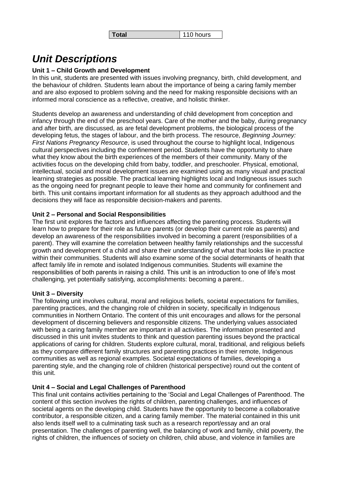## *Unit Descriptions*

#### **Unit 1 – Child Growth and Development**

In this unit, students are presented with issues involving pregnancy, birth, child development, and the behaviour of children. Students learn about the importance of being a caring family member and are also exposed to problem solving and the need for making responsible decisions with an informed moral conscience as a reflective, creative, and holistic thinker.

Students develop an awareness and understanding of child development from conception and infancy through the end of the preschool years. Care of the mother and the baby, during pregnancy and after birth, are discussed, as are fetal development problems, the biological process of the developing fetus, the stages of labour, and the birth process. The resource, *Beginning Journey: First Nations Pregnancy Resource*, is used throughout the course to highlight local, Indigenous cultural perspectives including the confinement period. Students have the opportunity to share what they know about the birth experiences of the members of their community. Many of the activities focus on the developing child from baby, toddler, and preschooler. Physical, emotional, intellectual, social and moral development issues are examined using as many visual and practical learning strategies as possible. The practical learning highlights local and Indigneous issues such as the ongoing need for pregnant people to leave their home and community for confinement and birth. This unit contains important information for all students as they approach adulthood and the decisions they will face as responsible decision-makers and parents.

#### **Unit 2 – Personal and Social Responsibilities**

The first unit explores the factors and influences affecting the parenting process. Students will learn how to prepare for their role as future parents (or develop their current role as parents) and develop an awareness of the responsibilities involved in becoming a parent (responsibilities of a parent). They will examine the correlation between healthy family relationships and the successful growth and development of a child and share their understanding of what that looks like in practice within their communities. Students will also examine some of the social determinants of health that affect family life in remote and isolated Indigenous communities. Students will examine the responsibilities of both parents in raising a child. This unit is an introduction to one of life's most challenging, yet potentially satisfying, accomplishments: becoming a parent..

#### **Unit 3 – Diversity**

The following unit involves cultural, moral and religious beliefs, societal expectations for families, parenting practices, and the changing role of children in society, specifically in Indigenous communities in Northern Ontario. The content of this unit encourages and allows for the personal development of discerning believers and responsible citizens. The underlying values associated with being a caring family member are important in all activities. The information presented and discussed in this unit invites students to think and question parenting issues beyond the practical applications of caring for children. Students explore cultural, moral, traditional, and religious beliefs as they compare different family structures and parenting practices in their remote, Indigenous communities as well as regional examples. Societal expectations of families, developing a parenting style, and the changing role of children (historical perspective) round out the content of this unit.

#### **Unit 4 – Social and Legal Challenges of Parenthood**

This final unit contains activities pertaining to the 'Social and Legal Challenges of Parenthood. The content of this section involves the rights of children, parenting challenges, and influences of societal agents on the developing child. Students have the opportunity to become a collaborative contributor, a responsible citizen, and a caring family member. The material contained in this unit also lends itself well to a culminating task such as a research report/essay and an oral presentation. The challenges of parenting well, the balancing of work and family, child poverty, the rights of children, the influences of society on children, child abuse, and violence in families are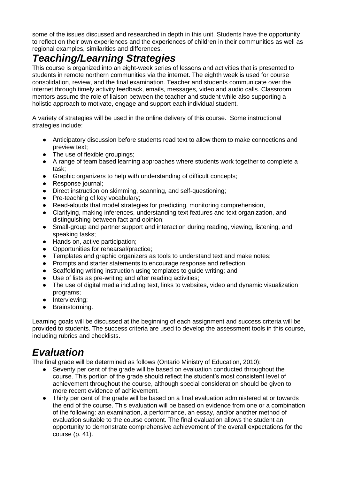some of the issues discussed and researched in depth in this unit. Students have the opportunity to reflect on their own experiences and the experiences of children in their communities as well as regional examples, similarities and differences.

## *Teaching/Learning Strategies*

This course is organized into an eight-week series of lessons and activities that is presented to students in remote northern communities via the internet. The eighth week is used for course consolidation, review, and the final examination. Teacher and students communicate over the internet through timely activity feedback, emails, messages, video and audio calls. Classroom mentors assume the role of liaison between the teacher and student while also supporting a holistic approach to motivate, engage and support each individual student.

A variety of strategies will be used in the online delivery of this course. Some instructional strategies include:

- Anticipatory discussion before students read text to allow them to make connections and preview text;
- The use of flexible groupings;
- A range of team based learning approaches where students work together to complete a task;
- Graphic organizers to help with understanding of difficult concepts;
- Response journal;
- Direct instruction on skimming, scanning, and self-questioning;
- Pre-teaching of key vocabulary:
- Read-alouds that model strategies for predicting, monitoring comprehension,
- Clarifying, making inferences, understanding text features and text organization, and distinguishing between fact and opinion;
- Small-group and partner support and interaction during reading, viewing, listening, and speaking tasks:
- Hands on, active participation;
- Opportunities for rehearsal/practice:
- Templates and graphic organizers as tools to understand text and make notes;
- Prompts and starter statements to encourage response and reflection;
- Scaffolding writing instruction using templates to guide writing; and
- Use of lists as pre-writing and after reading activities;
- The use of digital media including text, links to websites, video and dynamic visualization programs;
- Interviewing;
- Brainstorming.

Learning goals will be discussed at the beginning of each assignment and success criteria will be provided to students. The success criteria are used to develop the assessment tools in this course, including rubrics and checklists.

## *Evaluation*

The final grade will be determined as follows (Ontario Ministry of Education, 2010):

- Seventy per cent of the grade will be based on evaluation conducted throughout the course. This portion of the grade should reflect the student's most consistent level of achievement throughout the course, although special consideration should be given to more recent evidence of achievement.
- Thirty per cent of the grade will be based on a final evaluation administered at or towards the end of the course. This evaluation will be based on evidence from one or a combination of the following: an examination, a performance, an essay, and/or another method of evaluation suitable to the course content. The final evaluation allows the student an opportunity to demonstrate comprehensive achievement of the overall expectations for the course (p. 41).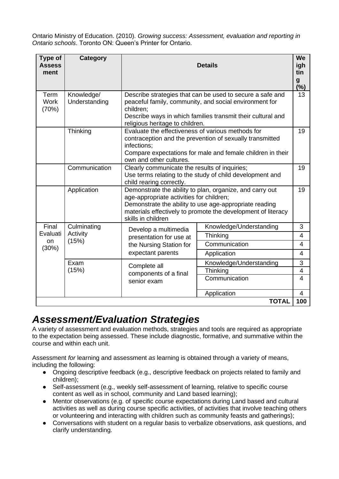Ontario Ministry of Education. (2010). *Growing success: Assessment, evaluation and reporting in Ontario schools*. Toronto ON: Queen's Printer for Ontario.

| Type of<br><b>Assess</b><br>ment    | Category                         |                                                                                                                                                                                                                                                      | <b>Details</b>            | We<br>igh<br>tin<br>$\boldsymbol{g}$<br>(%) |
|-------------------------------------|----------------------------------|------------------------------------------------------------------------------------------------------------------------------------------------------------------------------------------------------------------------------------------------------|---------------------------|---------------------------------------------|
| <b>Term</b><br><b>Work</b><br>(70%) | Knowledge/<br>Understanding      | Describe strategies that can be used to secure a safe and<br>peaceful family, community, and social environment for<br>children:<br>Describe ways in which families transmit their cultural and<br>religious heritage to children.                   |                           |                                             |
|                                     | Thinking                         | Evaluate the effectiveness of various methods for<br>contraception and the prevention of sexually transmitted<br>infections:<br>Compare expectations for male and female children in their<br>own and other cultures.                                |                           | 19                                          |
|                                     | Communication                    | Clearly communicate the results of inquiries;<br>Use terms relating to the study of child development and<br>child rearing correctly.                                                                                                                |                           | 19                                          |
|                                     | Application                      | Demonstrate the ability to plan, organize, and carry out<br>age-appropriate activities for children;<br>Demonstrate the ability to use age-appropriate reading<br>materials effectively to promote the development of literacy<br>skills in children |                           | 19                                          |
| Final                               | Culminating<br>Activity<br>(15%) | Develop a multimedia<br>presentation for use at<br>the Nursing Station for<br>expectant parents                                                                                                                                                      | Knowledge/Understanding   | 3                                           |
| Evaluati<br><b>on</b><br>(30%)      |                                  |                                                                                                                                                                                                                                                      | Thinking                  | $\overline{4}$                              |
|                                     |                                  |                                                                                                                                                                                                                                                      | Communication             | $\overline{4}$                              |
|                                     |                                  |                                                                                                                                                                                                                                                      | Application               | 4                                           |
|                                     | Exam<br>(15%)                    | Complete all<br>components of a final<br>senior exam                                                                                                                                                                                                 | Knowledge/Understanding   | 3                                           |
|                                     |                                  |                                                                                                                                                                                                                                                      | Thinking<br>Communication | $\overline{4}$<br>$\overline{4}$            |
|                                     |                                  |                                                                                                                                                                                                                                                      | Application               | $\overline{4}$                              |
|                                     |                                  |                                                                                                                                                                                                                                                      | <b>TOTAL</b>              | 100                                         |

## *Assessment/Evaluation Strategies*

A variety of assessment and evaluation methods, strategies and tools are required as appropriate to the expectation being assessed. These include diagnostic, formative, and summative within the course and within each unit.

Assessment *for* learning and assessment *as* learning is obtained through a variety of means, including the following:

- Ongoing descriptive feedback (e.g., descriptive feedback on projects related to family and children);
- Self-assessment (e.g., weekly self-assessment of learning, relative to specific course content as well as in school, community and Land based learning);
- Mentor observations (e.g. of specific course expectations during Land based and cultural activities as well as during course specific activities, of activities that involve teaching others or volunteering and interacting with children such as community feasts and gatherings);
- Conversations with student on a regular basis to verbalize observations, ask questions, and clarify understanding.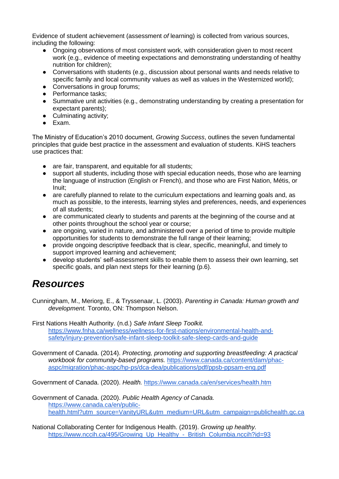Evidence of student achievement (assessment *of* learning) is collected from various sources, including the following:

- Ongoing observations of most consistent work, with consideration given to most recent work (e.g., evidence of meeting expectations and demonstrating understanding of healthy nutrition for children);
- Conversations with students (e.g., discussion about personal wants and needs relative to specific family and local community values as well as values in the Westernized world);
- Conversations in group forums:
- Performance tasks:
- Summative unit activities (e.g., demonstrating understanding by creating a presentation for expectant parents);
- Culminating activity:
- Exam.

The Ministry of Education's 2010 document, *Growing Success*, outlines the seven fundamental principles that guide best practice in the assessment and evaluation of students. KiHS teachers use practices that:

- are fair, transparent, and equitable for all students:
- support all students, including those with special education needs, those who are learning the language of instruction (English or French), and those who are First Nation, Métis, or Inuit;
- are carefully planned to relate to the curriculum expectations and learning goals and, as much as possible, to the interests, learning styles and preferences, needs, and experiences of all students;
- are communicated clearly to students and parents at the beginning of the course and at other points throughout the school year or course;
- are ongoing, varied in nature, and administered over a period of time to provide multiple opportunities for students to demonstrate the full range of their learning;
- provide ongoing descriptive feedback that is clear, specific, meaningful, and timely to support improved learning and achievement;
- develop students' self-assessment skills to enable them to assess their own learning, set specific goals, and plan next steps for their learning (p.6).

## *Resources*

Cunningham, M., Meriorg, E., & Tryssenaar, L. (2003). *Parenting in Canada: Human growth and development.* Toronto, ON: Thompson Nelson.

First Nations Health Authority. (n.d.) *Safe Infant Sleep Toolkit.* [https://www.fnha.ca/wellness/wellness-for-first-nations/environmental-health-and](https://www.fnha.ca/wellness/wellness-for-first-nations/environmental-health-and-safety/injury-prevention/safe-infant-sleep-toolkit-safe-sleep-cards-and-guide)[safety/injury-prevention/safe-infant-sleep-toolkit-safe-sleep-cards-and-guide](https://www.fnha.ca/wellness/wellness-for-first-nations/environmental-health-and-safety/injury-prevention/safe-infant-sleep-toolkit-safe-sleep-cards-and-guide)

Government of Canada. (2014). *Protecting, promoting and supporting breastfeeding: A practical workbook for community-based programs.* [https://www.canada.ca/content/dam/phac](https://www.canada.ca/content/dam/phac-aspc/migration/phac-aspc/hp-ps/dca-dea/publications/pdf/ppsb-ppsam-eng.pdf)[aspc/migration/phac-aspc/hp-ps/dca-dea/publications/pdf/ppsb-ppsam-eng.pdf](https://www.canada.ca/content/dam/phac-aspc/migration/phac-aspc/hp-ps/dca-dea/publications/pdf/ppsb-ppsam-eng.pdf)

Government of Canada. (2020). *Health.* [https://www.canada.ca/en/services/health.htm](https://www.canada.ca/en/services/health.html)

Government of Canada. (2020). *Public Health Agency of Canada.* [https://www.canada.ca/en/public](https://www.canada.ca/en/public-health.html?utm_source=VanityURL&utm_medium=URL&utm_campaign=publichealth.gc.ca)[health.html?utm\\_source=VanityURL&utm\\_medium=URL&utm\\_campaign=publichealth.gc.ca](https://www.canada.ca/en/public-health.html?utm_source=VanityURL&utm_medium=URL&utm_campaign=publichealth.gc.ca)

National Collaborating Center for Indigenous Health. (2019). *Growing up healthy.*  https://www.nccih.ca/495/Growing Up\_Healthy - British\_Columbia.nccih?id=93